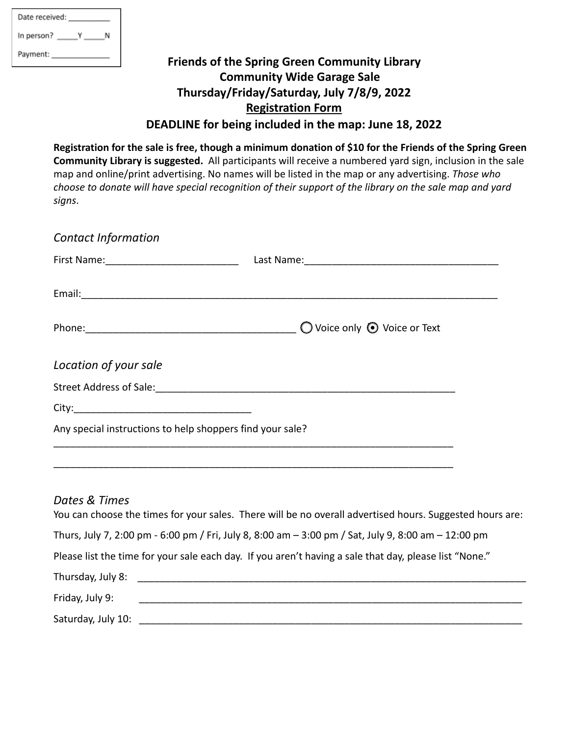| Date received: |   |  |
|----------------|---|--|
| In person?     | γ |  |
| Payment:       |   |  |

## **Friends of the Spring Green Community Library Community Wide Garage Sale Thursday/Friday/Saturday, July 7/8/9, 2022 Registration Form DEADLINE for being included in the map: June 18, 2022**

**Registration for the sale is free, though a minimum donation of \$10 for the Friends of the Spring Green Community Library is suggested.** All participants will receive a numbered yard sign, inclusion in the sale map and online/print advertising. No names will be listed in the map or any advertising. *Those who choose to donate will have special recognition of their support of the library on the sale map and yard signs*.

| <b>Contact Information</b>                                |                                                                                                                                                                                                                               |
|-----------------------------------------------------------|-------------------------------------------------------------------------------------------------------------------------------------------------------------------------------------------------------------------------------|
|                                                           |                                                                                                                                                                                                                               |
|                                                           |                                                                                                                                                                                                                               |
|                                                           | Phone: 2000 Phone: 2000 Phone: 2000 Phone: 2000 Phone: 2000 Phone: 2000 Phone: 2000 Phone: 2000 Phone: 2000 Phone: 2000 Phone: 2000 Phone: 2000 Phone: 2000 Phone: 2000 Phone: 2000 Phone: 2000 Phone: 2000 Phone: 2000 Phone |
| Location of your sale                                     |                                                                                                                                                                                                                               |
|                                                           |                                                                                                                                                                                                                               |
|                                                           |                                                                                                                                                                                                                               |
| Any special instructions to help shoppers find your sale? |                                                                                                                                                                                                                               |
|                                                           |                                                                                                                                                                                                                               |
| Dates & Times                                             | You can choose the times for your sales. There will be no overall advertised hours. Suggested hours are:                                                                                                                      |
|                                                           | Thurs, July 7, 2:00 pm - 6:00 pm / Fri, July 8, 8:00 am - 3:00 pm / Sat, July 9, 8:00 am - 12:00 pm                                                                                                                           |

Please list the time for your sale each day. If you aren't having a sale that day, please list "None."

| Thursday, July 8:  |  |
|--------------------|--|
| Friday, July 9:    |  |
| Saturday, July 10: |  |